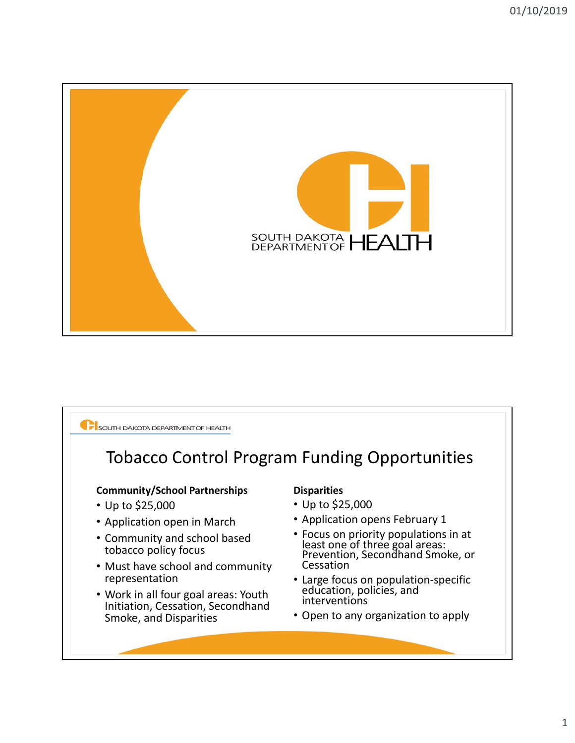

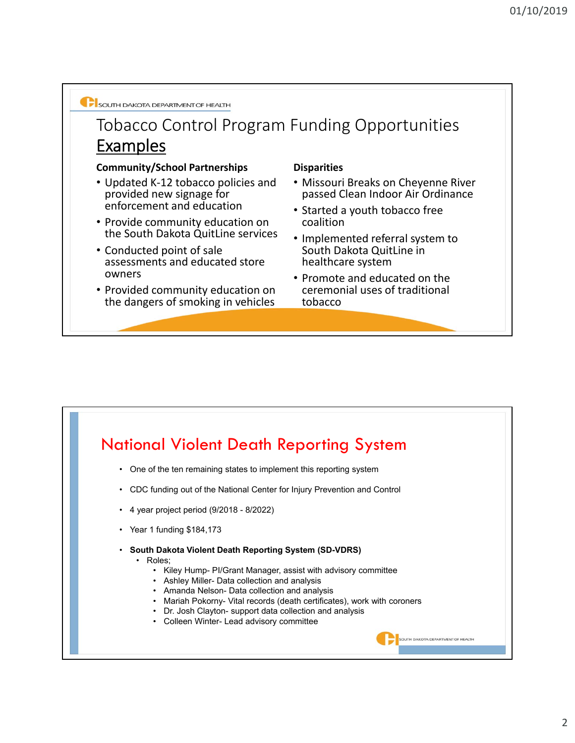

### Tobacco Control Program Funding Opportunities Examples

#### **Community/School Partnerships Disparities**

- Updated K‐12 tobacco policies and provided new signage for enforcement and education
- Provide community education on the South Dakota QuitLine services
- Conducted point of sale assessments and educated store owners
- Provided community education on the dangers of smoking in vehicles

- Missouri Breaks on Cheyenne River passed Clean Indoor Air Ordinance
- Started a youth tobacco free coalition
- Implemented referral system to South Dakota QuitLine in healthcare system
- Promote and educated on the ceremonial uses of traditional tobacco

**OUTH DAKOTA DEPARTMENT OF HEALTH** 

## National Violent Death Reporting System

- One of the ten remaining states to implement this reporting system
- CDC funding out of the National Center for Injury Prevention and Control
- 4 year project period (9/2018 8/2022)
- Year 1 funding \$184,173
- **South Dakota Violent Death Reporting System (SD-VDRS)**
	- Roles;
		- Kiley Hump- PI/Grant Manager, assist with advisory committee
		- Ashley Miller- Data collection and analysis
		- Amanda Nelson- Data collection and analysis
		- Mariah Pokorny- Vital records (death certificates), work with coroners
		- Dr. Josh Clayton- support data collection and analysis
		- Colleen Winter- Lead advisory committee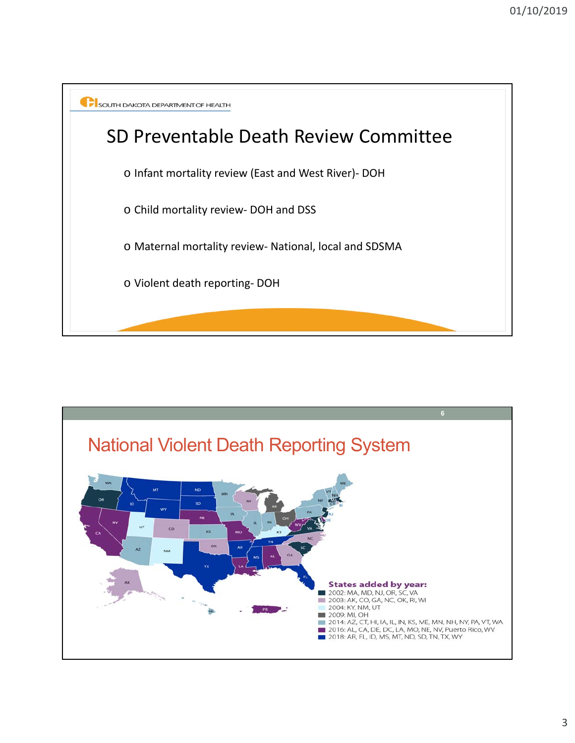

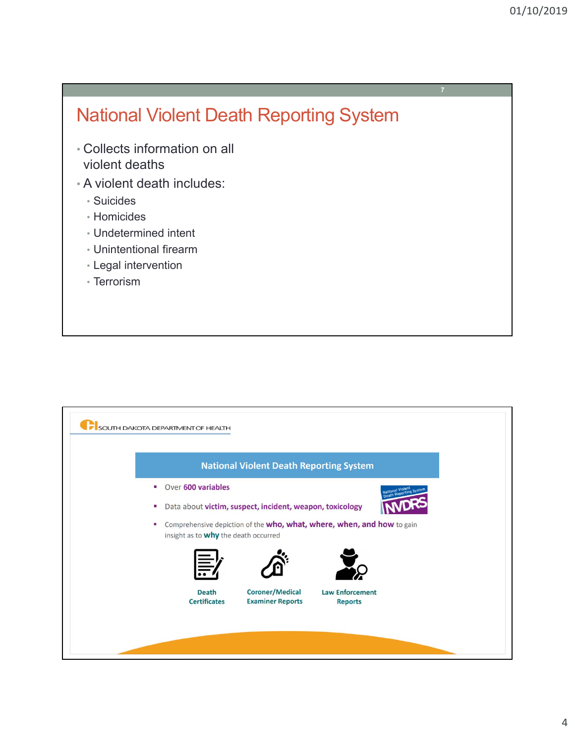**7**

# National Violent Death Reporting System

- Collects information on all violent deaths
- A violent death includes:
	- Suicides
	- Homicides
	- Undetermined intent
	- Unintentional firearm
	- Legal intervention
	- Terrorism

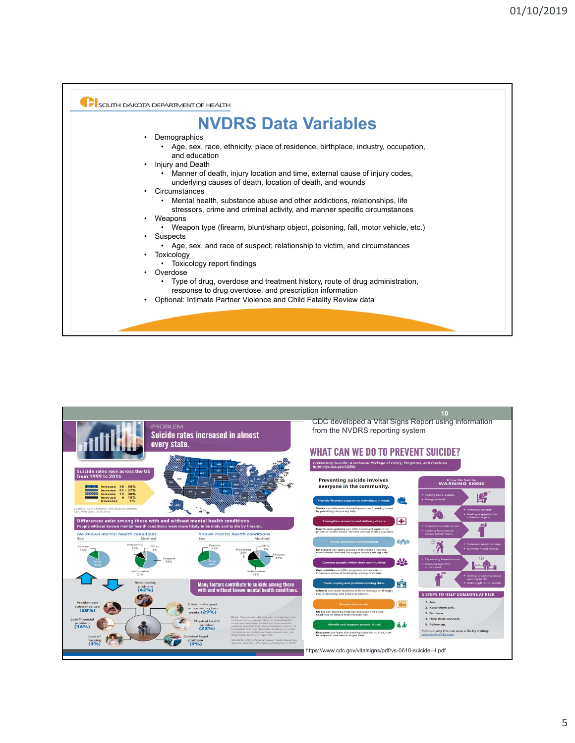

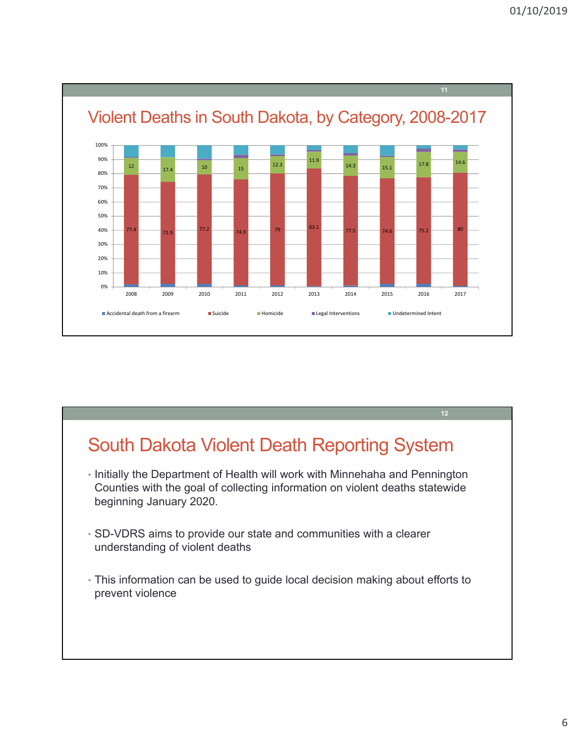

# South Dakota Violent Death Reporting System

- Initially the Department of Health will work with Minnehaha and Pennington Counties with the goal of collecting information on violent deaths statewide beginning January 2020.
- SD-VDRS aims to provide our state and communities with a clearer understanding of violent deaths
- This information can be used to guide local decision making about efforts to prevent violence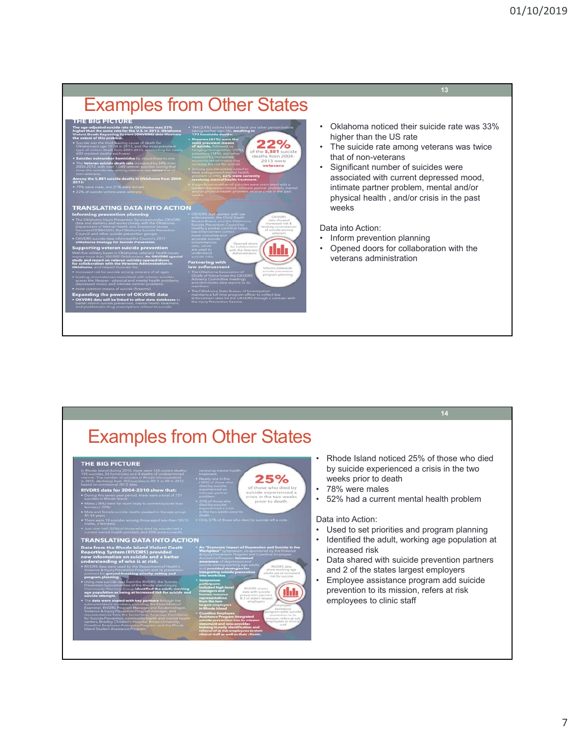#### Examples from Other States • Oklahoma noticed their suicide rate was 33% higher than the US rate  $2%$ • The suicide rate among veterans was twice that of non-veterans • Significant number of suicides were associated with current depressed mood, intimate partner problem, mental and/or physical health , and/or crisis in the past **TRANSLATING DATA INTO ACTION** weeks Data into Action: • Inform prevention planning • Opened doors for collaboration with the ddi veterans administration

|                                                                                                                                                                                                                                                                                                                                                                                                                                                                                                                                                                                                                                                                                                                                                                                                                                                                                                                                                                                                                                                                                                                                                                                                                                   |                                                                                                                                                                                                                                                                                                                                                                                                                                                                                                                                                                                                                                                                                                                                                                                                                                                                                                                                                                                                                                                                                                                                                                                                       | 14                                                                                                                                                                                                                                                                                                                                                                                                                                                                                                                                                                          |
|-----------------------------------------------------------------------------------------------------------------------------------------------------------------------------------------------------------------------------------------------------------------------------------------------------------------------------------------------------------------------------------------------------------------------------------------------------------------------------------------------------------------------------------------------------------------------------------------------------------------------------------------------------------------------------------------------------------------------------------------------------------------------------------------------------------------------------------------------------------------------------------------------------------------------------------------------------------------------------------------------------------------------------------------------------------------------------------------------------------------------------------------------------------------------------------------------------------------------------------|-------------------------------------------------------------------------------------------------------------------------------------------------------------------------------------------------------------------------------------------------------------------------------------------------------------------------------------------------------------------------------------------------------------------------------------------------------------------------------------------------------------------------------------------------------------------------------------------------------------------------------------------------------------------------------------------------------------------------------------------------------------------------------------------------------------------------------------------------------------------------------------------------------------------------------------------------------------------------------------------------------------------------------------------------------------------------------------------------------------------------------------------------------------------------------------------------------|-----------------------------------------------------------------------------------------------------------------------------------------------------------------------------------------------------------------------------------------------------------------------------------------------------------------------------------------------------------------------------------------------------------------------------------------------------------------------------------------------------------------------------------------------------------------------------|
| <b>Examples from Other States</b>                                                                                                                                                                                                                                                                                                                                                                                                                                                                                                                                                                                                                                                                                                                                                                                                                                                                                                                                                                                                                                                                                                                                                                                                 |                                                                                                                                                                                                                                                                                                                                                                                                                                                                                                                                                                                                                                                                                                                                                                                                                                                                                                                                                                                                                                                                                                                                                                                                       |                                                                                                                                                                                                                                                                                                                                                                                                                                                                                                                                                                             |
| <b>THE BIG PICTURE</b><br>In Rhode Island during 2010, there were 165 violent deaths:<br>135 suicides, 26 homicides and 4 deaths of undetermined<br>133 suicides, 26 nomicides and 4 deaths of undetermined<br>manner. The number of suicides in Rhode Island peaked<br>in 2010, declining from 102 suicides in 2011 to 89 in 2012,<br>based on provisional 2012 data.<br>RIVDRS data for 2004-2010 show that:<br>. During this seven year period, there were a total of 731<br>suicides in Rhode Island.<br>. Males (78%) were far more likely to commit suicide than                                                                                                                                                                                                                                                                                                                                                                                                                                                                                                                                                                                                                                                            | receiving mental health<br>25%<br>$(18\%)$ one in five<br>$(18\%)$ of those who<br>died by suicide<br>experienced an<br>interacte partner<br>exclusive<br>of those who died by<br>suicide experienced a<br>crisis in the two weeks<br><b>DIGIORNE</b><br>$25\%$ of those who died by suicide<br>prior to death.                                                                                                                                                                                                                                                                                                                                                                                                                                                                                                                                                                                                                                                                                                                                                                                                                                                                                       | Rhode Island noticed 25% of those who died<br>by suicide experienced a crisis in the two<br>weeks prior to death<br>78% were males<br>$\bullet$<br>52% had a current mental health problem<br>$\bullet$<br>Data into Action:<br>Used to set priorities and program planning<br>Identified the adult, working age population at<br>increased risk<br>Data shared with suicide prevention partners<br>and 2 of the states largest employers<br>Employee assistance program add suicide<br>$\bullet$<br>prevention to its mission, refers at risk<br>employees to clinic staff |
| formales (22%)<br>. Male and female suicide deaths peaked in the age group<br>45-54 years<br>. Them were 18 suicides among those aged less than 18 (15<br>males, 3 formales).<br>. Just over half (52%) of those who died by suicide had a<br>current mental health problem, and 43% were currently<br><b>TRANSLATING DATA INTO ACTION</b><br><b>Data from the Rhode Island Violent Death</b><br><b>Reporting System (RIVDRS) provided</b><br>new information on suicide and a better<br>understanding of who is at risk.<br>. RIVDRS data were used by the Department of Health's<br>Violence & trijury Prevention Program and its prevention<br>partners for <b>ground-breaking priority setting and</b><br>program planning<br>. Using new suicide data from the RIVDRS, the Suicide<br>Prevention Subcommittee of the Rhode Island Injury<br>Community Planning Group <b>Identified the adult, working</b><br>age population as being at increased risk for suicide and<br>suicide attempts.<br>The deterministic procedure of the property through the matches and the control control of the property of the property of the control control control control control control control control control control control contro | experienced a crisis<br>in the two weeks prior to<br>. Only 37% of those who died by suicide left a note.<br>. An "Economic Impact of Depression and Suicide in the<br>Workplace" symposium, co-sponsored by the Violence<br>& injury Prevention Program and Coastline Employee<br>Assistance Program, Increased<br>awareness of depression and<br>suicide among working age adult<br>and <b>provided strategies for</b><br>RIVDRS data<br>show working age<br>ntegrating suicide preventior<br>edults are at increased<br>into worksites.<br>risk for suicide<br>· Symposium<br>participants<br>Included high-level<br>RIVORS shares<br>managers and<br>clata with suicide.<br>human resource<br>prevention partners<br>representatives<br>& 2 of state's largest<br>represented<br>from the two<br>largest employers<br>in Rhode Island<br>employers<br>mployee<br>assistance<br>sgram adds suicide<br>Coastline Employee<br>Assistance Program integrated<br>suicide prevention into its mission<br>prevention to its<br>mission, refers at risk<br>riployees to clinica<br>statement and now provides<br>196.38<br>training in early identification and<br>referral of at risk employees to their |                                                                                                                                                                                                                                                                                                                                                                                                                                                                                                                                                                             |